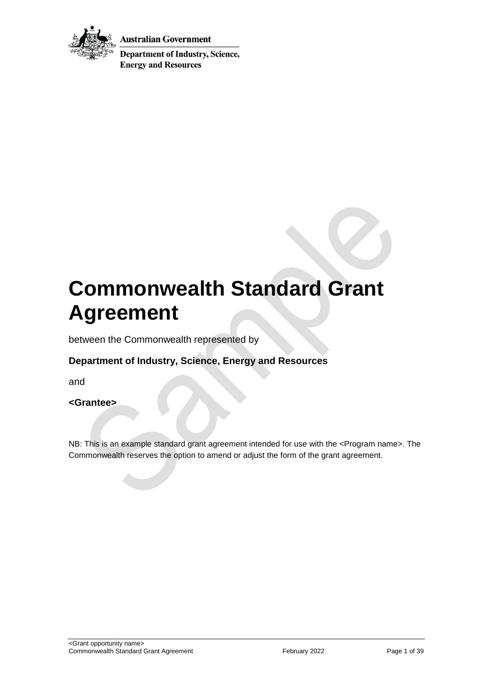

Australian Government

**Department of Industry, Science, Energy and Resources** 

# **Commonwealth Standard Grant Agreement**

between the Commonwealth represented by

# **Department of Industry, Science, Energy and Resources**

and

### **<Grantee>**

NB: This is an example standard grant agreement intended for use with the <Program name>. The Commonwealth reserves the option to amend or adjust the form of the grant agreement.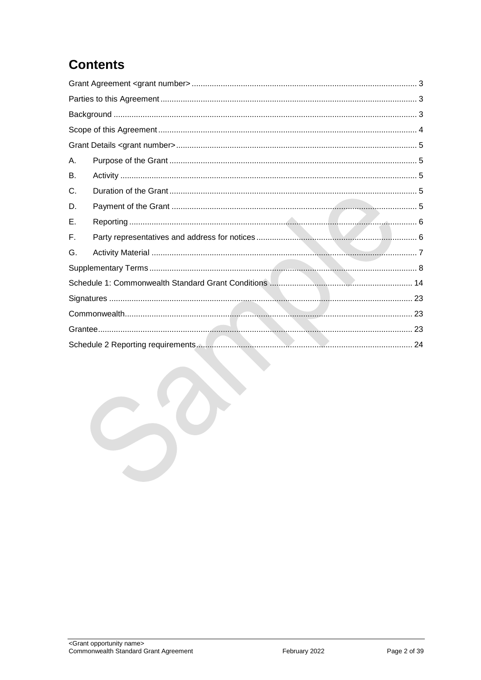# **Contents**

| Α. |  |  |  |  |
|----|--|--|--|--|
| В. |  |  |  |  |
| C. |  |  |  |  |
| D. |  |  |  |  |
| Е. |  |  |  |  |
| F. |  |  |  |  |
| G. |  |  |  |  |
|    |  |  |  |  |
|    |  |  |  |  |
|    |  |  |  |  |
|    |  |  |  |  |
|    |  |  |  |  |
|    |  |  |  |  |
|    |  |  |  |  |
|    |  |  |  |  |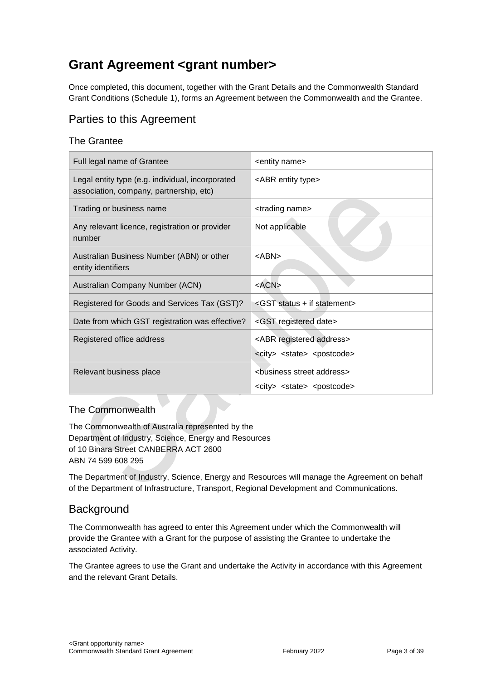# <span id="page-2-0"></span>**Grant Agreement <grant number>**

Once completed, this document, together with the Grant Details and the Commonwealth Standard Grant Conditions (Schedule 1), forms an Agreement between the Commonwealth and the Grantee.

# <span id="page-2-1"></span>Parties to this Agreement

### The Grantee

| Full legal name of Grantee                                                                  | <entity name=""></entity>                                                                          |
|---------------------------------------------------------------------------------------------|----------------------------------------------------------------------------------------------------|
| Legal entity type (e.g. individual, incorporated<br>association, company, partnership, etc) | <abr entity="" type=""></abr>                                                                      |
| Trading or business name                                                                    | <trading name=""></trading>                                                                        |
| Any relevant licence, registration or provider<br>number                                    | Not applicable                                                                                     |
| Australian Business Number (ABN) or other<br>entity identifiers                             | $<$ ABN $>$                                                                                        |
| Australian Company Number (ACN)                                                             | $<$ ACN $>$                                                                                        |
| Registered for Goods and Services Tax (GST)?                                                | <gst +="" if="" statement="" status=""></gst>                                                      |
| Date from which GST registration was effective?                                             | <gst date="" registered=""></gst>                                                                  |
| Registered office address                                                                   | <abr address="" registered=""></abr>                                                               |
|                                                                                             | <city> <state> <postcode></postcode></state></city>                                                |
| Relevant business place                                                                     | <business address="" street=""><br/><city> <state> <postcode></postcode></state></city></business> |

### The Commonwealth

The Commonwealth of Australia represented by the Department of Industry, Science, Energy and Resources of 10 Binara Street CANBERRA ACT 2600 ABN 74 599 608 295

The Department of Industry, Science, Energy and Resources will manage the Agreement on behalf of the Department of Infrastructure, Transport, Regional Development and Communications.

# <span id="page-2-2"></span>**Background**

The Commonwealth has agreed to enter this Agreement under which the Commonwealth will provide the Grantee with a Grant for the purpose of assisting the Grantee to undertake the associated Activity.

The Grantee agrees to use the Grant and undertake the Activity in accordance with this Agreement and the relevant Grant Details.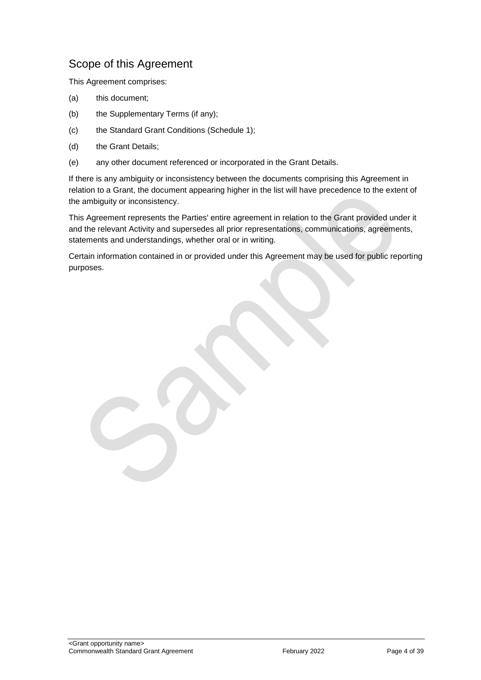# <span id="page-3-0"></span>Scope of this Agreement

This Agreement comprises:

- (a) this document;
- (b) the Supplementary Terms (if any);
- (c) the Standard Grant Conditions (Schedule 1);
- (d) the Grant Details;
- (e) any other document referenced or incorporated in the Grant Details.

If there is any ambiguity or inconsistency between the documents comprising this Agreement in relation to a Grant, the document appearing higher in the list will have precedence to the extent of the ambiguity or inconsistency.

This Agreement represents the Parties' entire agreement in relation to the Grant provided under it and the relevant Activity and supersedes all prior representations, communications, agreements, statements and understandings, whether oral or in writing.

Certain information contained in or provided under this Agreement may be used for public reporting purposes.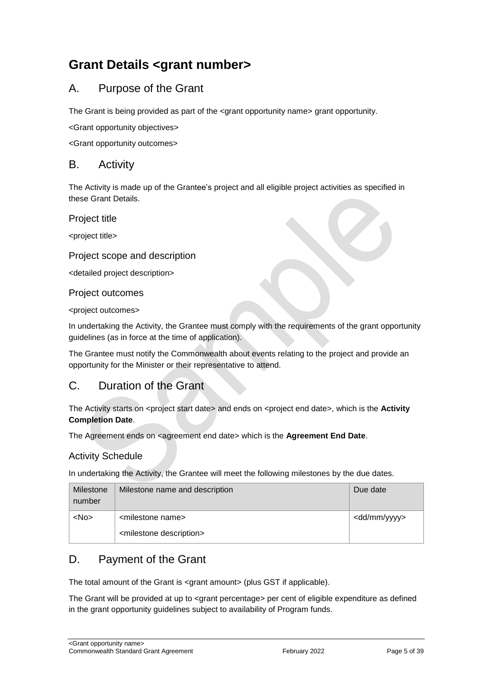# <span id="page-4-0"></span>**Grant Details <grant number>**

# <span id="page-4-1"></span>A. Purpose of the Grant

The Grant is being provided as part of the <grant opportunity name> grant opportunity.

<Grant opportunity objectives>

<Grant opportunity outcomes>

### <span id="page-4-2"></span>B. Activity

The Activity is made up of the Grantee's project and all eligible project activities as specified in these Grant Details.

Project title

<project title>

### Project scope and description

<detailed project description>

### Project outcomes

<project outcomes>

In undertaking the Activity, the Grantee must comply with the requirements of the grant opportunity guidelines (as in force at the time of application).

The Grantee must notify the Commonwealth about events relating to the project and provide an opportunity for the Minister or their representative to attend.

# <span id="page-4-3"></span>C. Duration of the Grant

The Activity starts on <project start date> and ends on <project end date>, which is the **Activity Completion Date**.

The Agreement ends on <agreement end date> which is the **Agreement End Date**.

### Activity Schedule

In undertaking the Activity, the Grantee will meet the following milestones by the due dates.

| Milestone<br>number | Milestone name and description         | Due date                |
|---------------------|----------------------------------------|-------------------------|
| $<$ No $>$          | <milestone name=""></milestone>        | <dd mm="" yyyy=""></dd> |
|                     | <milestone description=""></milestone> |                         |

# <span id="page-4-4"></span>D. Payment of the Grant

The total amount of the Grant is <grant amount> (plus GST if applicable).

The Grant will be provided at up to <grant percentage> per cent of eligible expenditure as defined in the grant opportunity guidelines subject to availability of Program funds.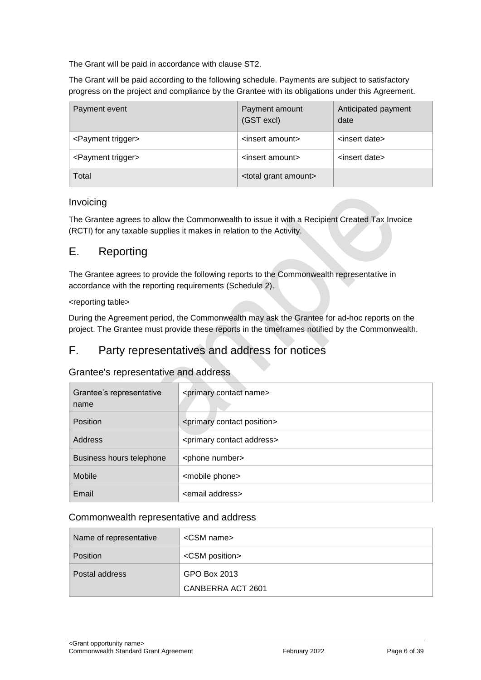The Grant will be paid in accordance with clause [ST2.](#page-7-1)

The Grant will be paid according to the following schedule. Payments are subject to satisfactory progress on the project and compliance by the Grantee with its obligations under this Agreement.

| Payment event                  | Payment amount<br>(GST excl)       | Anticipated payment<br>date |
|--------------------------------|------------------------------------|-----------------------------|
| <payment trigger=""></payment> | <insert amount=""></insert>        | <insert date=""></insert>   |
| <payment trigger=""></payment> | <insert amount=""></insert>        | <insert date=""></insert>   |
| Total                          | <total amount="" grant=""></total> |                             |

### Invoicing

The Grantee agrees to allow the Commonwealth to issue it with a Recipient Created Tax Invoice (RCTI) for any taxable supplies it makes in relation to the Activity.

# <span id="page-5-0"></span>E. Reporting

The Grantee agrees to provide the following reports to the Commonwealth representative in accordance with the reporting requirements (Schedule 2).

### <reporting table>

During the Agreement period, the Commonwealth may ask the Grantee for ad-hoc reports on the project. The Grantee must provide these reports in the timeframes notified by the Commonwealth.

# <span id="page-5-1"></span>F. Party representatives and address for notices

### Grantee's representative and address

| Grantee's representative<br>name | <primary contact="" name=""></primary>     |  |  |
|----------------------------------|--------------------------------------------|--|--|
| <b>Position</b>                  | <primary contact="" position=""></primary> |  |  |
| Address                          | <primary address="" contact=""></primary>  |  |  |
| Business hours telephone         | <phone number=""></phone>                  |  |  |
| Mobile                           | <mobile phone=""></mobile>                 |  |  |
| Email                            | <email address=""></email>                 |  |  |

### Commonwealth representative and address

| Name of representative | $\leq$ CSM name $\geq$  |
|------------------------|-------------------------|
| <b>Position</b>        | <csm position=""></csm> |
| Postal address         | GPO Box 2013            |
|                        | CANBERRA ACT 2601       |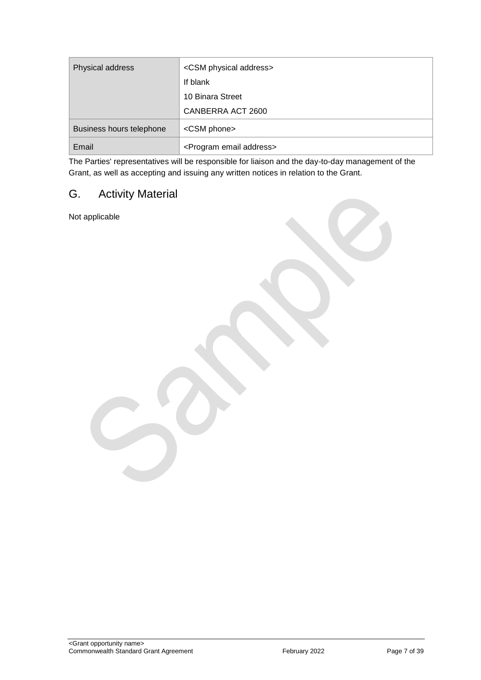| Physical address         | <csm address="" physical=""></csm>      |
|--------------------------|-----------------------------------------|
|                          | If blank                                |
|                          | 10 Binara Street                        |
|                          | CANBERRA ACT 2600                       |
| Business hours telephone | <csm phone=""></csm>                    |
| Email                    | <program address="" email=""></program> |

The Parties' representatives will be responsible for liaison and the day-to-day management of the Grant, as well as accepting and issuing any written notices in relation to the Grant.

# <span id="page-6-0"></span>G. Activity Material

Not applicable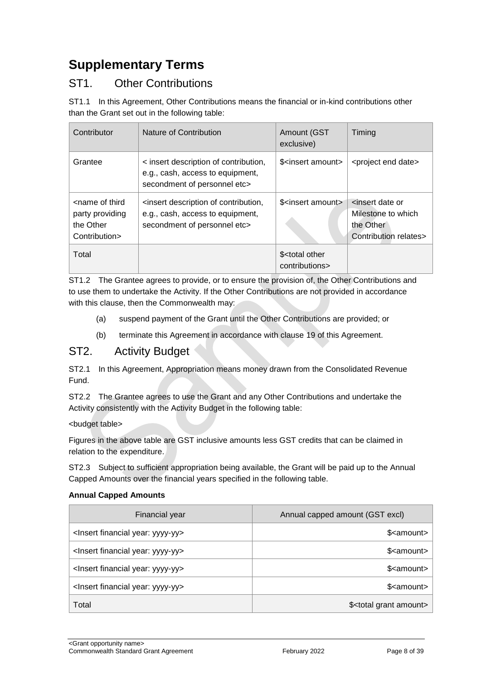# <span id="page-7-0"></span>**Supplementary Terms**

# ST1. Other Contributions

ST1.1 In this Agreement, Other Contributions means the financial or in-kind contributions other than the Grant set out in the following table:

| Contributor                                                                       | Nature of Contribution                                                                                    | Amount (GST<br>exclusive)                       | Timing                                                                                          |
|-----------------------------------------------------------------------------------|-----------------------------------------------------------------------------------------------------------|-------------------------------------------------|-------------------------------------------------------------------------------------------------|
| Grantee                                                                           | < insert description of contribution,<br>e.g., cash, access to equipment,<br>secondment of personnel etc> | \$ <insert amount=""></insert>                  | <project date="" end=""></project>                                                              |
| <name of="" third<br="">party providing<br/>the Other<br/>Contribution&gt;</name> | insert description of contribution,<br>e.g., cash, access to equipment,<br>secondment of personnel etc>   | \$ <insert amount=""></insert>                  | <insert date="" or<br="">Milestone to which<br/>the Other<br/>Contribution relates&gt;</insert> |
| Total                                                                             |                                                                                                           | \$ <total other<br="">contributions&gt;</total> |                                                                                                 |

ST1.2 The Grantee agrees to provide, or to ensure the provision of, the Other Contributions and to use them to undertake the Activity. If the Other Contributions are not provided in accordance with this clause, then the Commonwealth may:

- (a) suspend payment of the Grant until the Other Contributions are provided; or
- (b) terminate this Agreement in accordance with clause 19 of this Agreement.

# <span id="page-7-1"></span>ST2. Activity Budget

ST2.1 In this Agreement, Appropriation means money drawn from the Consolidated Revenue Fund.

ST2.2 The Grantee agrees to use the Grant and any Other Contributions and undertake the Activity consistently with the Activity Budget in the following table:

### <budget table>

Figures in the above table are GST inclusive amounts less GST credits that can be claimed in relation to the expenditure.

ST2.3 Subject to sufficient appropriation being available, the Grant will be paid up to the Annual Capped Amounts over the financial years specified in the following table.

### **Annual Capped Amounts**

| Financial year                                     | Annual capped amount (GST excl)       |
|----------------------------------------------------|---------------------------------------|
| <lnsert financial="" year:="" yyyy-yy=""></lnsert> | \$ <amount></amount>                  |
| <lnsert financial="" year:="" yyyy-yy=""></lnsert> | \$ <amount></amount>                  |
| <lnsert financial="" year:="" yyyy-yy=""></lnsert> | \$ <amount></amount>                  |
| <lnsert financial="" year:="" yyyy-yy=""></lnsert> | \$ <amount></amount>                  |
| Total                                              | \$ <total amount="" grant=""></total> |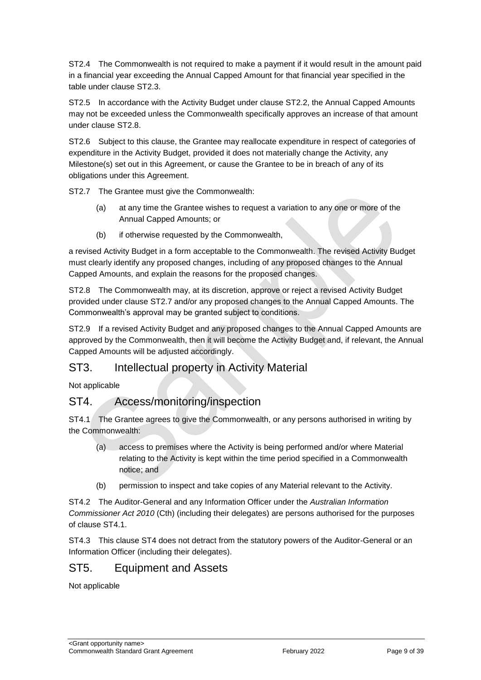ST2.4 The Commonwealth is not required to make a payment if it would result in the amount paid in a financial year exceeding the Annual Capped Amount for that financial year specified in the table under clause ST2.3.

ST2.5 In accordance with the Activity Budget under clause ST2.2, the Annual Capped Amounts may not be exceeded unless the Commonwealth specifically approves an increase of that amount under clause ST2.8.

ST2.6 Subject to this clause, the Grantee may reallocate expenditure in respect of categories of expenditure in the Activity Budget, provided it does not materially change the Activity, any Milestone(s) set out in this Agreement, or cause the Grantee to be in breach of any of its obligations under this Agreement.

ST2.7 The Grantee must give the Commonwealth:

- (a) at any time the Grantee wishes to request a variation to any one or more of the Annual Capped Amounts; or
- (b) if otherwise requested by the Commonwealth,

a revised Activity Budget in a form acceptable to the Commonwealth. The revised Activity Budget must clearly identify any proposed changes, including of any proposed changes to the Annual Capped Amounts, and explain the reasons for the proposed changes.

ST2.8 The Commonwealth may, at its discretion, approve or reject a revised Activity Budget provided under clause ST2.7 and/or any proposed changes to the Annual Capped Amounts. The Commonwealth's approval may be granted subject to conditions.

ST2.9 If a revised Activity Budget and any proposed changes to the Annual Capped Amounts are approved by the Commonwealth, then it will become the Activity Budget and, if relevant, the Annual Capped Amounts will be adjusted accordingly.

# ST3. Intellectual property in Activity Material

Not applicable

# ST4. Access/monitoring/inspection

ST4.1 The Grantee agrees to give the Commonwealth, or any persons authorised in writing by the Commonwealth:

- (a) access to premises where the Activity is being performed and/or where Material relating to the Activity is kept within the time period specified in a Commonwealth notice; and
- (b) permission to inspect and take copies of any Material relevant to the Activity.

ST4.2 The Auditor-General and any Information Officer under the *Australian Information Commissioner Act 2010* (Cth) (including their delegates) are persons authorised for the purposes of clause ST4.1.

ST4.3 This clause ST4 does not detract from the statutory powers of the Auditor-General or an Information Officer (including their delegates).

# ST5. Equipment and Assets

Not applicable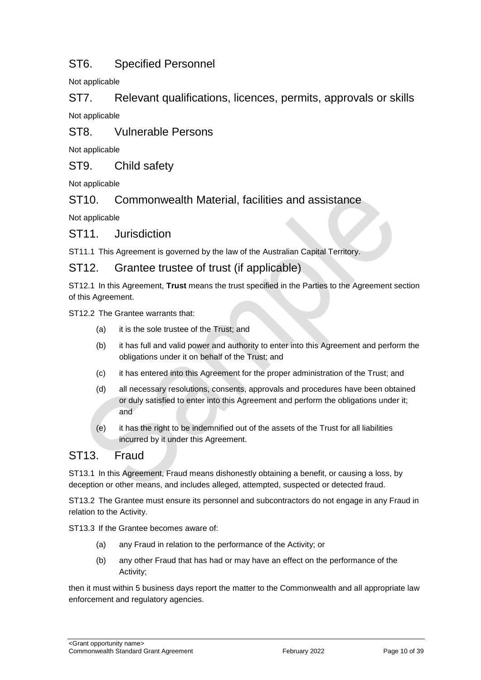# ST6. Specified Personnel

Not applicable

ST7. Relevant qualifications, licences, permits, approvals or skills Not applicable

ST8. Vulnerable Persons

Not applicable

ST9. Child safety

Not applicable

ST10. Commonwealth Material, facilities and assistance

Not applicable

ST11. Jurisdiction

ST11.1 This Agreement is governed by the law of the Australian Capital Territory.

### ST12. Grantee trustee of trust (if applicable)

ST12.1 In this Agreement, **Trust** means the trust specified in the Parties to the Agreement section of this Agreement.

ST12.2 The Grantee warrants that:

- (a) it is the sole trustee of the Trust; and
- (b) it has full and valid power and authority to enter into this Agreement and perform the obligations under it on behalf of the Trust; and
- (c) it has entered into this Agreement for the proper administration of the Trust; and
- (d) all necessary resolutions, consents, approvals and procedures have been obtained or duly satisfied to enter into this Agreement and perform the obligations under it; and
- (e) it has the right to be indemnified out of the assets of the Trust for all liabilities incurred by it under this Agreement.

# ST13. Fraud

ST13.1 In this Agreement, Fraud means dishonestly obtaining a benefit, or causing a loss, by deception or other means, and includes alleged, attempted, suspected or detected fraud.

ST13.2 The Grantee must ensure its personnel and subcontractors do not engage in any Fraud in relation to the Activity.

ST13.3 If the Grantee becomes aware of:

- (a) any Fraud in relation to the performance of the Activity; or
- (b) any other Fraud that has had or may have an effect on the performance of the Activity;

then it must within 5 business days report the matter to the Commonwealth and all appropriate law enforcement and regulatory agencies.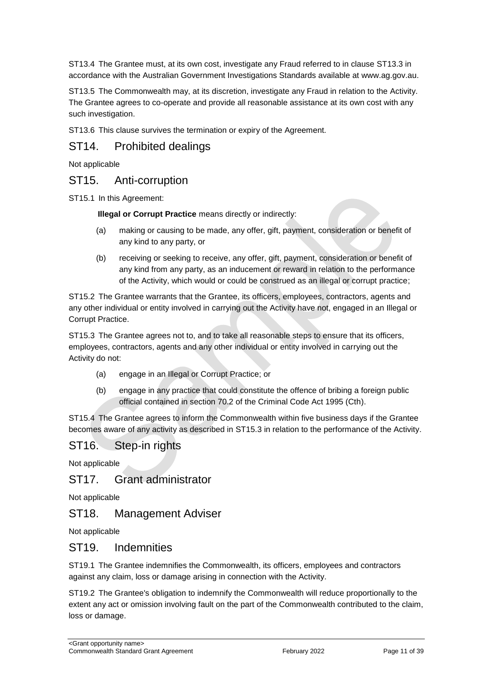ST13.4 The Grantee must, at its own cost, investigate any Fraud referred to in clause ST13.3 in accordance with the Australian Government Investigations Standards available at [www.ag.gov.au.](http://www.ag.gov.au/)

ST13.5 The Commonwealth may, at its discretion, investigate any Fraud in relation to the Activity. The Grantee agrees to co-operate and provide all reasonable assistance at its own cost with any such investigation.

ST13.6 This clause survives the termination or expiry of the Agreement.

# ST14. Prohibited dealings

Not applicable

# ST15. Anti-corruption

ST15.1 In this Agreement:

**Illegal or Corrupt Practice** means directly or indirectly:

- (a) making or causing to be made, any offer, gift, payment, consideration or benefit of any kind to any party, or
- (b) receiving or seeking to receive, any offer, gift, payment, consideration or benefit of any kind from any party, as an inducement or reward in relation to the performance of the Activity, which would or could be construed as an illegal or corrupt practice;

ST15.2 The Grantee warrants that the Grantee, its officers, employees, contractors, agents and any other individual or entity involved in carrying out the Activity have not, engaged in an Illegal or Corrupt Practice.

ST15.3 The Grantee agrees not to, and to take all reasonable steps to ensure that its officers, employees, contractors, agents and any other individual or entity involved in carrying out the Activity do not:

- (a) engage in an Illegal or Corrupt Practice; or
- (b) engage in any practice that could constitute the offence of bribing a foreign public official contained in section 70.2 of the Criminal Code Act 1995 (Cth).

ST15.4 The Grantee agrees to inform the Commonwealth within five business days if the Grantee becomes aware of any activity as described in ST15.3 in relation to the performance of the Activity.

# ST16. Step-in rights

Not applicable

### ST17. Grant administrator

Not applicable

# ST18. Management Adviser

Not applicable

### ST19. Indemnities

ST19.1 The Grantee indemnifies the Commonwealth, its officers, employees and contractors against any claim, loss or damage arising in connection with the Activity.

ST19.2 The Grantee's obligation to indemnify the Commonwealth will reduce proportionally to the extent any act or omission involving fault on the part of the Commonwealth contributed to the claim, loss or damage.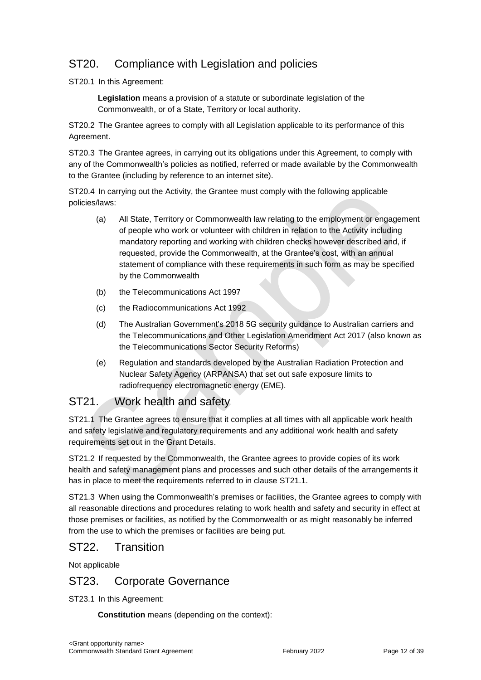# ST20. Compliance with Legislation and policies

ST20.1 In this Agreement:

**Legislation** means a provision of a statute or subordinate legislation of the Commonwealth, or of a State, Territory or local authority.

ST20.2 The Grantee agrees to comply with all Legislation applicable to its performance of this Agreement.

ST20.3 The Grantee agrees, in carrying out its obligations under this Agreement, to comply with any of the Commonwealth's policies as notified, referred or made available by the Commonwealth to the Grantee (including by reference to an internet site).

ST20.4 In carrying out the Activity, the Grantee must comply with the following applicable policies/laws:

- (a) All State, Territory or Commonwealth law relating to the employment or engagement of people who work or volunteer with children in relation to the Activity including mandatory reporting and working with children checks however described and, if requested, provide the Commonwealth, at the Grantee's cost, with an annual statement of compliance with these requirements in such form as may be specified by the Commonwealth
- (b) the Telecommunications Act 1997
- (c) the Radiocommunications Act 1992
- (d) The Australian Government's 2018 5G security guidance to Australian carriers and the Telecommunications and Other Legislation Amendment Act 2017 (also known as the Telecommunications Sector Security Reforms)
- (e) Regulation and standards developed by the Australian Radiation Protection and Nuclear Safety Agency (ARPANSA) that set out safe exposure limits to radiofrequency electromagnetic energy (EME).

# ST21. Work health and safety

ST21.1 The Grantee agrees to ensure that it complies at all times with all applicable work health and safety legislative and regulatory requirements and any additional work health and safety requirements set out in the Grant Details.

ST21.2 If requested by the Commonwealth, the Grantee agrees to provide copies of its work health and safety management plans and processes and such other details of the arrangements it has in place to meet the requirements referred to in clause ST21.1.

ST21.3 When using the Commonwealth's premises or facilities, the Grantee agrees to comply with all reasonable directions and procedures relating to work health and safety and security in effect at those premises or facilities, as notified by the Commonwealth or as might reasonably be inferred from the use to which the premises or facilities are being put.

# ST22. Transition

Not applicable

# ST23. Corporate Governance

ST23.1 In this Agreement:

**Constitution** means (depending on the context):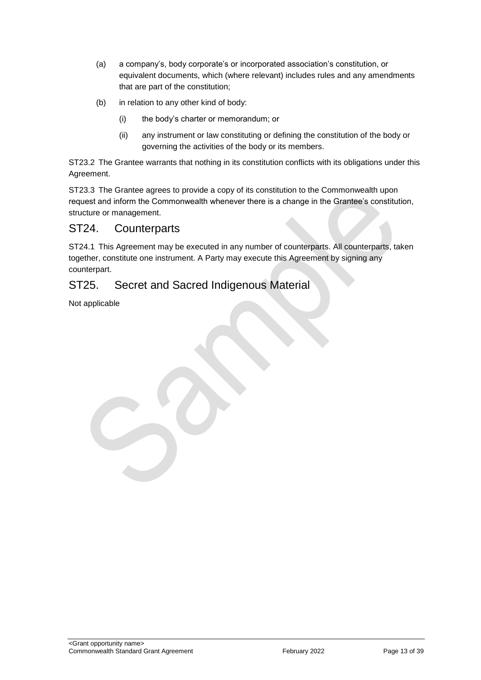- (a) a company's, body corporate's or incorporated association's constitution, or equivalent documents, which (where relevant) includes rules and any amendments that are part of the constitution;
- (b) in relation to any other kind of body:
	- (i) the body's charter or memorandum; or
	- (ii) any instrument or law constituting or defining the constitution of the body or governing the activities of the body or its members.

ST23.2 The Grantee warrants that nothing in its constitution conflicts with its obligations under this Agreement.

ST23.3 The Grantee agrees to provide a copy of its constitution to the Commonwealth upon request and inform the Commonwealth whenever there is a change in the Grantee's constitution, structure or management.

# ST24. Counterparts

ST24.1 This Agreement may be executed in any number of counterparts. All counterparts, taken together, constitute one instrument. A Party may execute this Agreement by signing any counterpart.

# ST25. Secret and Sacred Indigenous Material

Not applicable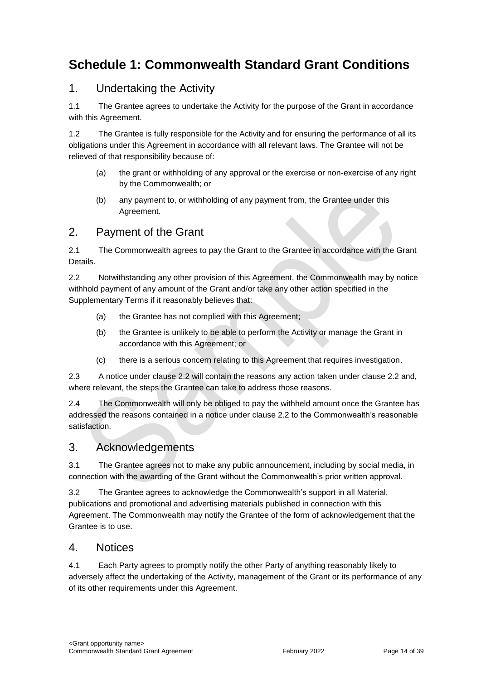# <span id="page-13-0"></span>**Schedule 1: Commonwealth Standard Grant Conditions**

# 1. Undertaking the Activity

1.1 The Grantee agrees to undertake the Activity for the purpose of the Grant in accordance with this Agreement.

1.2 The Grantee is fully responsible for the Activity and for ensuring the performance of all its obligations under this Agreement in accordance with all relevant laws. The Grantee will not be relieved of that responsibility because of:

- (a) the grant or withholding of any approval or the exercise or non‐exercise of any right by the Commonwealth; or
- (b) any payment to, or withholding of any payment from, the Grantee under this Agreement.

# 2. Payment of the Grant

2.1 The Commonwealth agrees to pay the Grant to the Grantee in accordance with the Grant Details.

2.2 Notwithstanding any other provision of this Agreement, the Commonwealth may by notice withhold payment of any amount of the Grant and/or take any other action specified in the Supplementary Terms if it reasonably believes that:

- (a) the Grantee has not complied with this Agreement;
- (b) the Grantee is unlikely to be able to perform the Activity or manage the Grant in accordance with this Agreement; or
- (c) there is a serious concern relating to this Agreement that requires investigation.

2.3 A notice under clause 2.2 will contain the reasons any action taken under clause 2.2 and, where relevant, the steps the Grantee can take to address those reasons.

2.4 The Commonwealth will only be obliged to pay the withheld amount once the Grantee has addressed the reasons contained in a notice under clause 2.2 to the Commonwealth's reasonable satisfaction.

# 3. Acknowledgements

3.1 The Grantee agrees not to make any public announcement, including by social media, in connection with the awarding of the Grant without the Commonwealth's prior written approval.

3.2 The Grantee agrees to acknowledge the Commonwealth's support in all Material, publications and promotional and advertising materials published in connection with this Agreement. The Commonwealth may notify the Grantee of the form of acknowledgement that the Grantee is to use.

# 4. Notices

4.1 Each Party agrees to promptly notify the other Party of anything reasonably likely to adversely affect the undertaking of the Activity, management of the Grant or its performance of any of its other requirements under this Agreement.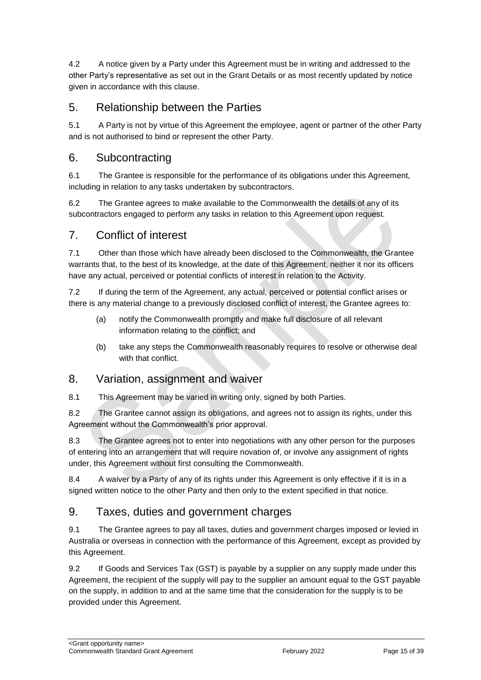4.2 A notice given by a Party under this Agreement must be in writing and addressed to the other Party's representative as set out in the Grant Details or as most recently updated by notice given in accordance with this clause.

# 5. Relationship between the Parties

5.1 A Party is not by virtue of this Agreement the employee, agent or partner of the other Party and is not authorised to bind or represent the other Party.

# 6. Subcontracting

6.1 The Grantee is responsible for the performance of its obligations under this Agreement, including in relation to any tasks undertaken by subcontractors.

6.2 The Grantee agrees to make available to the Commonwealth the details of any of its subcontractors engaged to perform any tasks in relation to this Agreement upon request.

# 7. Conflict of interest

7.1 Other than those which have already been disclosed to the Commonwealth, the Grantee warrants that, to the best of its knowledge, at the date of this Agreement, neither it nor its officers have any actual, perceived or potential conflicts of interest in relation to the Activity.

7.2 If during the term of the Agreement, any actual, perceived or potential conflict arises or there is any material change to a previously disclosed conflict of interest, the Grantee agrees to:

- (a) notify the Commonwealth promptly and make full disclosure of all relevant information relating to the conflict; and
- (b) take any steps the Commonwealth reasonably requires to resolve or otherwise deal with that conflict.

# 8. Variation, assignment and waiver

8.1 This Agreement may be varied in writing only, signed by both Parties.

8.2 The Grantee cannot assign its obligations, and agrees not to assign its rights, under this Agreement without the Commonwealth's prior approval.

8.3 The Grantee agrees not to enter into negotiations with any other person for the purposes of entering into an arrangement that will require novation of, or involve any assignment of rights under, this Agreement without first consulting the Commonwealth.

8.4 A waiver by a Party of any of its rights under this Agreement is only effective if it is in a signed written notice to the other Party and then only to the extent specified in that notice.

# 9. Taxes, duties and government charges

9.1 The Grantee agrees to pay all taxes, duties and government charges imposed or levied in Australia or overseas in connection with the performance of this Agreement, except as provided by this Agreement.

9.2 If Goods and Services Tax (GST) is payable by a supplier on any supply made under this Agreement, the recipient of the supply will pay to the supplier an amount equal to the GST payable on the supply, in addition to and at the same time that the consideration for the supply is to be provided under this Agreement.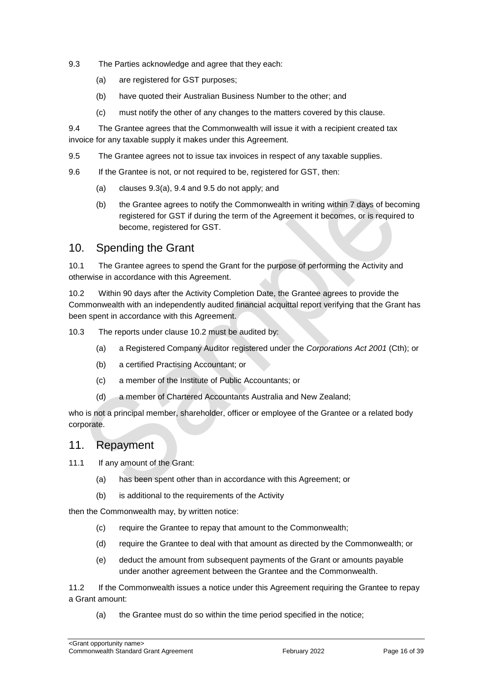- 9.3 The Parties acknowledge and agree that they each:
	- (a) are registered for GST purposes;
	- (b) have quoted their Australian Business Number to the other; and
	- (c) must notify the other of any changes to the matters covered by this clause.

9.4 The Grantee agrees that the Commonwealth will issue it with a recipient created tax invoice for any taxable supply it makes under this Agreement.

- 9.5 The Grantee agrees not to issue tax invoices in respect of any taxable supplies.
- 9.6 If the Grantee is not, or not required to be, registered for GST, then:
	- (a) clauses 9.3(a), 9.4 and 9.5 do not apply; and
	- (b) the Grantee agrees to notify the Commonwealth in writing within 7 days of becoming registered for GST if during the term of the Agreement it becomes, or is required to become, registered for GST.

# 10. Spending the Grant

10.1 The Grantee agrees to spend the Grant for the purpose of performing the Activity and otherwise in accordance with this Agreement.

10.2 Within 90 days after the Activity Completion Date, the Grantee agrees to provide the Commonwealth with an independently audited financial acquittal report verifying that the Grant has been spent in accordance with this Agreement.

10.3 The reports under clause 10.2 must be audited by:

- (a) a Registered Company Auditor registered under the *Corporations Act 2001* (Cth); or
- (b) a certified Practising Accountant; or
- (c) a member of the Institute of Public Accountants; or
- (d) a member of Chartered Accountants Australia and New Zealand;

who is not a principal member, shareholder, officer or employee of the Grantee or a related body corporate.

### 11. Repayment

11.1 If any amount of the Grant:

- (a) has been spent other than in accordance with this Agreement; or
- (b) is additional to the requirements of the Activity

then the Commonwealth may, by written notice:

- (c) require the Grantee to repay that amount to the Commonwealth;
- (d) require the Grantee to deal with that amount as directed by the Commonwealth; or
- (e) deduct the amount from subsequent payments of the Grant or amounts payable under another agreement between the Grantee and the Commonwealth.

11.2 If the Commonwealth issues a notice under this Agreement requiring the Grantee to repay a Grant amount:

(a) the Grantee must do so within the time period specified in the notice;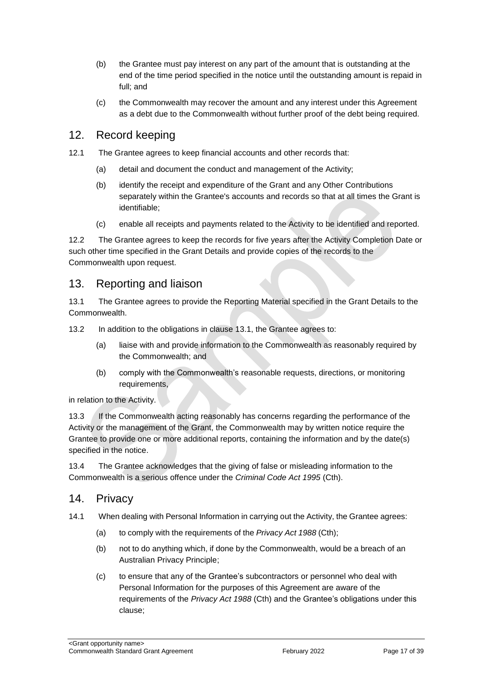- (b) the Grantee must pay interest on any part of the amount that is outstanding at the end of the time period specified in the notice until the outstanding amount is repaid in full; and
- (c) the Commonwealth may recover the amount and any interest under this Agreement as a debt due to the Commonwealth without further proof of the debt being required.

# 12. Record keeping

- 12.1 The Grantee agrees to keep financial accounts and other records that:
	- (a) detail and document the conduct and management of the Activity;
	- (b) identify the receipt and expenditure of the Grant and any Other Contributions separately within the Grantee's accounts and records so that at all times the Grant is identifiable;
	- (c) enable all receipts and payments related to the Activity to be identified and reported.

12.2 The Grantee agrees to keep the records for five years after the Activity Completion Date or such other time specified in the Grant Details and provide copies of the records to the Commonwealth upon request.

### 13. Reporting and liaison

13.1 The Grantee agrees to provide the Reporting Material specified in the Grant Details to the Commonwealth.

13.2 In addition to the obligations in clause 13.1, the Grantee agrees to:

- (a) liaise with and provide information to the Commonwealth as reasonably required by the Commonwealth; and
- (b) comply with the Commonwealth's reasonable requests, directions, or monitoring requirements,

in relation to the Activity.

13.3 If the Commonwealth acting reasonably has concerns regarding the performance of the Activity or the management of the Grant, the Commonwealth may by written notice require the Grantee to provide one or more additional reports, containing the information and by the date(s) specified in the notice.

13.4 The Grantee acknowledges that the giving of false or misleading information to the Commonwealth is a serious offence under the *Criminal Code Act 1995* (Cth).

### 14. Privacy

- 14.1 When dealing with Personal Information in carrying out the Activity, the Grantee agrees:
	- (a) to comply with the requirements of the *Privacy Act 1988* (Cth);
	- (b) not to do anything which, if done by the Commonwealth, would be a breach of an Australian Privacy Principle;
	- (c) to ensure that any of the Grantee's subcontractors or personnel who deal with Personal Information for the purposes of this Agreement are aware of the requirements of the *Privacy Act 1988* (Cth) and the Grantee's obligations under this clause;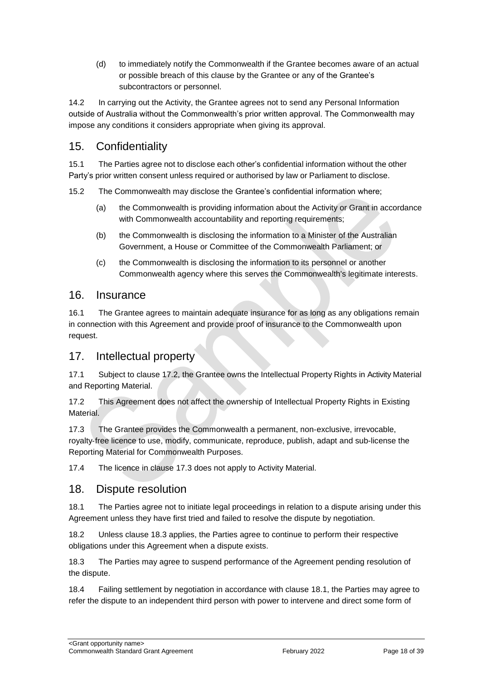(d) to immediately notify the Commonwealth if the Grantee becomes aware of an actual or possible breach of this clause by the Grantee or any of the Grantee's subcontractors or personnel.

14.2 In carrying out the Activity, the Grantee agrees not to send any Personal Information outside of Australia without the Commonwealth's prior written approval. The Commonwealth may impose any conditions it considers appropriate when giving its approval.

# 15. Confidentiality

15.1 The Parties agree not to disclose each other's confidential information without the other Party's prior written consent unless required or authorised by law or Parliament to disclose.

15.2 The Commonwealth may disclose the Grantee's confidential information where;

- (a) the Commonwealth is providing information about the Activity or Grant in accordance with Commonwealth accountability and reporting requirements;
- (b) the Commonwealth is disclosing the information to a Minister of the Australian Government, a House or Committee of the Commonwealth Parliament; or
- (c) the Commonwealth is disclosing the information to its personnel or another Commonwealth agency where this serves the Commonwealth's legitimate interests.

# 16. Insurance

16.1 The Grantee agrees to maintain adequate insurance for as long as any obligations remain in connection with this Agreement and provide proof of insurance to the Commonwealth upon request.

# 17. Intellectual property

17.1 Subject to clause 17.2, the Grantee owns the Intellectual Property Rights in Activity Material and Reporting Material.

17.2 This Agreement does not affect the ownership of Intellectual Property Rights in Existing **Material** 

17.3 The Grantee provides the Commonwealth a permanent, non-exclusive, irrevocable, royalty‐free licence to use, modify, communicate, reproduce, publish, adapt and sub-license the Reporting Material for Commonwealth Purposes.

17.4 The licence in clause 17.3 does not apply to Activity Material.

# 18. Dispute resolution

18.1 The Parties agree not to initiate legal proceedings in relation to a dispute arising under this Agreement unless they have first tried and failed to resolve the dispute by negotiation.

18.2 Unless clause 18.3 applies, the Parties agree to continue to perform their respective obligations under this Agreement when a dispute exists.

18.3 The Parties may agree to suspend performance of the Agreement pending resolution of the dispute.

18.4 Failing settlement by negotiation in accordance with clause 18.1, the Parties may agree to refer the dispute to an independent third person with power to intervene and direct some form of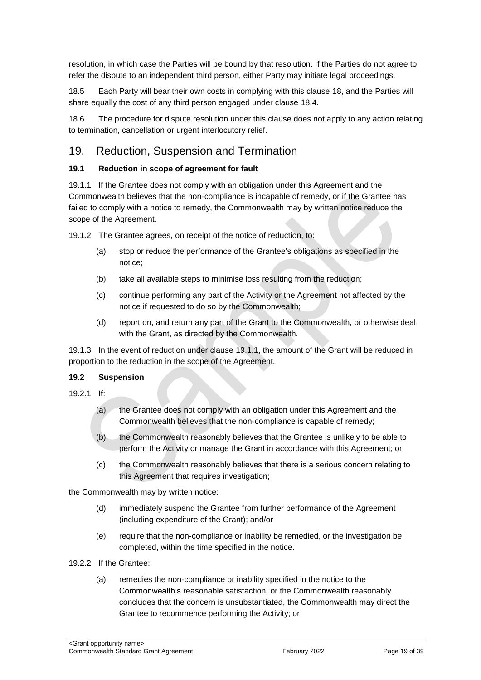resolution, in which case the Parties will be bound by that resolution. If the Parties do not agree to refer the dispute to an independent third person, either Party may initiate legal proceedings.

18.5 Each Party will bear their own costs in complying with this clause 18, and the Parties will share equally the cost of any third person engaged under clause 18.4.

18.6 The procedure for dispute resolution under this clause does not apply to any action relating to termination, cancellation or urgent interlocutory relief.

# 19. Reduction, Suspension and Termination

### **19.1 Reduction in scope of agreement for fault**

19.1.1 If the Grantee does not comply with an obligation under this Agreement and the Commonwealth believes that the non‐compliance is incapable of remedy, or if the Grantee has failed to comply with a notice to remedy, the Commonwealth may by written notice reduce the scope of the Agreement.

19.1.2 The Grantee agrees, on receipt of the notice of reduction, to:

- (a) stop or reduce the performance of the Grantee's obligations as specified in the notice;
- (b) take all available steps to minimise loss resulting from the reduction;
- (c) continue performing any part of the Activity or the Agreement not affected by the notice if requested to do so by the Commonwealth;
- (d) report on, and return any part of the Grant to the Commonwealth, or otherwise deal with the Grant, as directed by the Commonwealth.

19.1.3 In the event of reduction under clause 19.1.1, the amount of the Grant will be reduced in proportion to the reduction in the scope of the Agreement.

#### **19.2 Suspension**

- 19.2.1 If:
	- (a) the Grantee does not comply with an obligation under this Agreement and the Commonwealth believes that the non‐compliance is capable of remedy;
	- (b) the Commonwealth reasonably believes that the Grantee is unlikely to be able to perform the Activity or manage the Grant in accordance with this Agreement; or
	- (c) the Commonwealth reasonably believes that there is a serious concern relating to this Agreement that requires investigation;

the Commonwealth may by written notice:

- (d) immediately suspend the Grantee from further performance of the Agreement (including expenditure of the Grant); and/or
- (e) require that the non‐compliance or inability be remedied, or the investigation be completed, within the time specified in the notice.
- 19.2.2 If the Grantee:
	- (a) remedies the non‐compliance or inability specified in the notice to the Commonwealth's reasonable satisfaction, or the Commonwealth reasonably concludes that the concern is unsubstantiated, the Commonwealth may direct the Grantee to recommence performing the Activity; or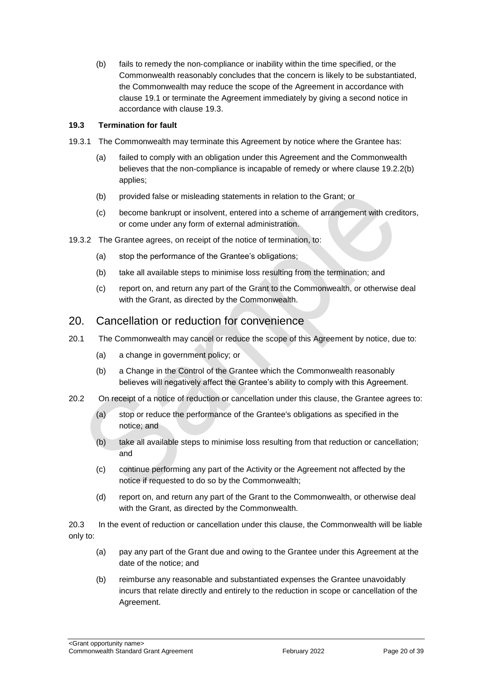(b) fails to remedy the non‐compliance or inability within the time specified, or the Commonwealth reasonably concludes that the concern is likely to be substantiated, the Commonwealth may reduce the scope of the Agreement in accordance with clause 19.1 or terminate the Agreement immediately by giving a second notice in accordance with clause 19.3.

#### **19.3 Termination for fault**

- 19.3.1 The Commonwealth may terminate this Agreement by notice where the Grantee has:
	- (a) failed to comply with an obligation under this Agreement and the Commonwealth believes that the non-compliance is incapable of remedy or where clause 19.2.2(b) applies;
	- (b) provided false or misleading statements in relation to the Grant; or
	- (c) become bankrupt or insolvent, entered into a scheme of arrangement with creditors, or come under any form of external administration.
- 19.3.2 The Grantee agrees, on receipt of the notice of termination, to:
	- (a) stop the performance of the Grantee's obligations;
	- (b) take all available steps to minimise loss resulting from the termination; and
	- (c) report on, and return any part of the Grant to the Commonwealth, or otherwise deal with the Grant, as directed by the Commonwealth.

### 20. Cancellation or reduction for convenience

- 20.1 The Commonwealth may cancel or reduce the scope of this Agreement by notice, due to:
	- (a) a change in government policy; or
	- (b) a Change in the Control of the Grantee which the Commonwealth reasonably believes will negatively affect the Grantee's ability to comply with this Agreement.
- 20.2 On receipt of a notice of reduction or cancellation under this clause, the Grantee agrees to:
	- (a) stop or reduce the performance of the Grantee's obligations as specified in the notice; and
	- (b) take all available steps to minimise loss resulting from that reduction or cancellation; and
	- (c) continue performing any part of the Activity or the Agreement not affected by the notice if requested to do so by the Commonwealth;
	- (d) report on, and return any part of the Grant to the Commonwealth, or otherwise deal with the Grant, as directed by the Commonwealth.

20.3 In the event of reduction or cancellation under this clause, the Commonwealth will be liable only to:

- (a) pay any part of the Grant due and owing to the Grantee under this Agreement at the date of the notice; and
- (b) reimburse any reasonable and substantiated expenses the Grantee unavoidably incurs that relate directly and entirely to the reduction in scope or cancellation of the Agreement.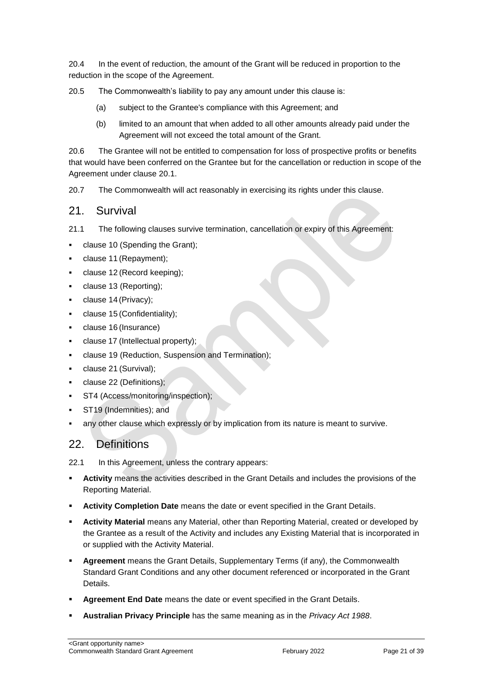20.4 In the event of reduction, the amount of the Grant will be reduced in proportion to the reduction in the scope of the Agreement.

20.5 The Commonwealth's liability to pay any amount under this clause is:

- (a) subject to the Grantee's compliance with this Agreement; and
- (b) limited to an amount that when added to all other amounts already paid under the Agreement will not exceed the total amount of the Grant.

20.6 The Grantee will not be entitled to compensation for loss of prospective profits or benefits that would have been conferred on the Grantee but for the cancellation or reduction in scope of the Agreement under clause 20.1.

20.7 The Commonwealth will act reasonably in exercising its rights under this clause.

# 21. Survival

21.1 The following clauses survive termination, cancellation or expiry of this Agreement:

- clause 10 (Spending the Grant);
- clause 11 (Repayment);
- clause 12 (Record keeping);
- clause 13 (Reporting);
- clause 14 (Privacy);
- clause 15 (Confidentiality);
- clause 16 (Insurance)
- clause 17 (Intellectual property);
- clause 19 (Reduction, Suspension and Termination);
- clause 21 (Survival);
- clause 22 (Definitions);
- ST4 (Access/monitoring/inspection);
- ST19 (Indemnities); and
- any other clause which expressly or by implication from its nature is meant to survive.

# 22. Definitions

22.1 In this Agreement, unless the contrary appears:

- **Activity** means the activities described in the Grant Details and includes the provisions of the Reporting Material.
- **Activity Completion Date** means the date or event specified in the Grant Details.
- **Activity Material** means any Material, other than Reporting Material, created or developed by the Grantee as a result of the Activity and includes any Existing Material that is incorporated in or supplied with the Activity Material.
- **Agreement** means the Grant Details, Supplementary Terms (if any), the Commonwealth Standard Grant Conditions and any other document referenced or incorporated in the Grant Details.
- **Agreement End Date** means the date or event specified in the Grant Details.
- **Australian Privacy Principle** has the same meaning as in the *Privacy Act 1988*.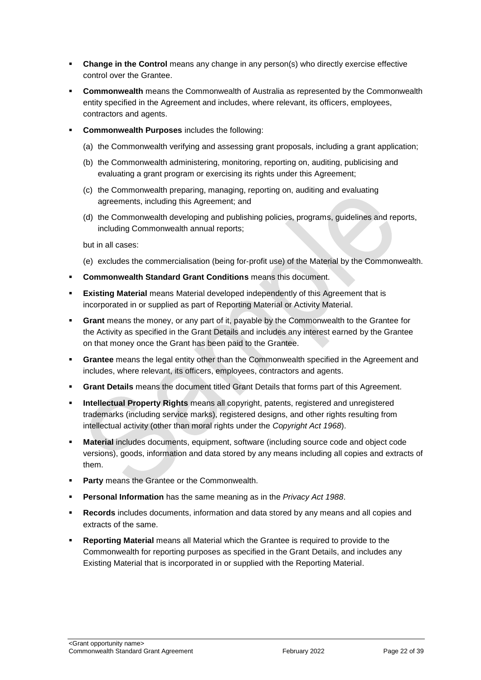- **Change in the Control** means any change in any person(s) who directly exercise effective control over the Grantee.
- **Commonwealth** means the Commonwealth of Australia as represented by the Commonwealth entity specified in the Agreement and includes, where relevant, its officers, employees, contractors and agents.
- **Commonwealth Purposes** includes the following:
	- (a) the Commonwealth verifying and assessing grant proposals, including a grant application;
	- (b) the Commonwealth administering, monitoring, reporting on, auditing, publicising and evaluating a grant program or exercising its rights under this Agreement;
	- (c) the Commonwealth preparing, managing, reporting on, auditing and evaluating agreements, including this Agreement; and
	- (d) the Commonwealth developing and publishing policies, programs, guidelines and reports, including Commonwealth annual reports;

but in all cases:

- (e) excludes the commercialisation (being for‐profit use) of the Material by the Commonwealth.
- **Commonwealth Standard Grant Conditions** means this document.
- **Existing Material** means Material developed independently of this Agreement that is incorporated in or supplied as part of Reporting Material or Activity Material.
- **Grant** means the money, or any part of it, payable by the Commonwealth to the Grantee for the Activity as specified in the Grant Details and includes any interest earned by the Grantee on that money once the Grant has been paid to the Grantee.
- **Grantee** means the legal entity other than the Commonwealth specified in the Agreement and includes, where relevant, its officers, employees, contractors and agents.
- **Grant Details** means the document titled Grant Details that forms part of this Agreement.
- **Intellectual Property Rights** means all copyright, patents, registered and unregistered trademarks (including service marks), registered designs, and other rights resulting from intellectual activity (other than moral rights under the *Copyright Act 1968*).
- **Material** includes documents, equipment, software (including source code and object code versions), goods, information and data stored by any means including all copies and extracts of them.
- **Party** means the Grantee or the Commonwealth.
- **Personal Information** has the same meaning as in the *Privacy Act 1988*.
- **Records** includes documents, information and data stored by any means and all copies and extracts of the same.
- **Reporting Material** means all Material which the Grantee is required to provide to the Commonwealth for reporting purposes as specified in the Grant Details, and includes any Existing Material that is incorporated in or supplied with the Reporting Material.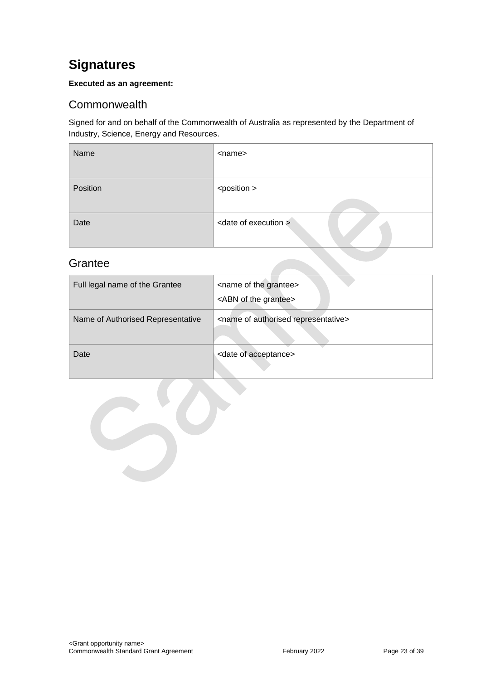# <span id="page-22-0"></span>**Signatures**

### **Executed as an agreement:**

# <span id="page-22-1"></span>**Commonwealth**

Signed for and on behalf of the Commonwealth of Australia as represented by the Department of Industry, Science, Energy and Resources.

| Name     | <name></name>                    |
|----------|----------------------------------|
| Position | <position></position>            |
| Date     | <date execution="" of=""></date> |

# <span id="page-22-2"></span>**Grantee**

| Full legal name of the Grantee    | <name grantee="" of="" the=""><br/><abn grantee="" of="" the=""></abn></name> |
|-----------------------------------|-------------------------------------------------------------------------------|
| Name of Authorised Representative | <name authorised="" of="" representative=""></name>                           |
| Date                              | <date acceptance="" of=""></date>                                             |

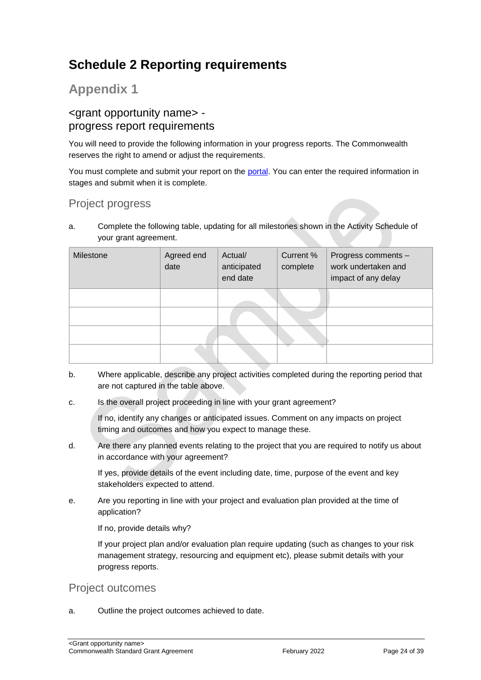# <span id="page-23-0"></span>**Schedule 2 Reporting requirements**

# **Appendix 1**

# <grant opportunity name> progress report requirements

You will need to provide the following information in your progress reports. The Commonwealth reserves the right to amend or adjust the requirements.

You must complete and submit your report on the [portal.](https://portal.business.gov.au/) You can enter the required information in stages and submit when it is complete.

# Project progress

a. Complete the following table, updating for all milestones shown in the Activity Schedule of your grant agreement.

| Milestone | Agreed end<br>date | Actual/<br>anticipated<br>end date | Current %<br>complete | Progress comments -<br>work undertaken and<br>impact of any delay |
|-----------|--------------------|------------------------------------|-----------------------|-------------------------------------------------------------------|
|           |                    |                                    |                       |                                                                   |
|           |                    |                                    |                       |                                                                   |
|           |                    |                                    |                       |                                                                   |
|           |                    |                                    |                       |                                                                   |

- b. Where applicable, describe any project activities completed during the reporting period that are not captured in the table above.
- c. Is the overall project proceeding in line with your grant agreement?

If no, identify any changes or anticipated issues. Comment on any impacts on project timing and outcomes and how you expect to manage these.

d. Are there any planned events relating to the project that you are required to notify us about in accordance with your agreement?

If yes, provide details of the event including date, time, purpose of the event and key stakeholders expected to attend.

e. Are you reporting in line with your project and evaluation plan provided at the time of application?

If no, provide details why?

If your project plan and/or evaluation plan require updating (such as changes to your risk management strategy, resourcing and equipment etc), please submit details with your progress reports.

### Project outcomes

a. Outline the project outcomes achieved to date.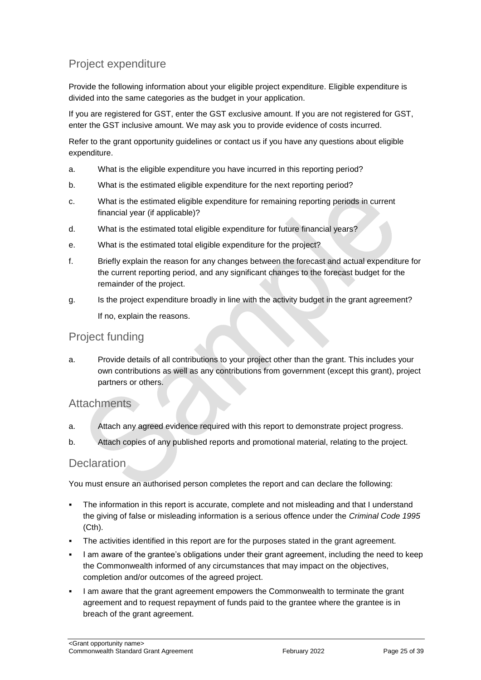# Project expenditure

Provide the following information about your eligible project expenditure. Eligible expenditure is divided into the same categories as the budget in your application.

If you are registered for GST, enter the GST exclusive amount. If you are not registered for GST, enter the GST inclusive amount. We may ask you to provide evidence of costs incurred.

Refer to the grant opportunity guidelines or contact us if you have any questions about eligible expenditure.

- a. What is the eligible expenditure you have incurred in this reporting period?
- b. What is the estimated eligible expenditure for the next reporting period?
- c. What is the estimated eligible expenditure for remaining reporting periods in current financial year (if applicable)?
- d. What is the estimated total eligible expenditure for future financial years?
- e. What is the estimated total eligible expenditure for the project?
- f. Briefly explain the reason for any changes between the forecast and actual expenditure for the current reporting period, and any significant changes to the forecast budget for the remainder of the project.
- g. Is the project expenditure broadly in line with the activity budget in the grant agreement? If no, explain the reasons.

### Project funding

a. Provide details of all contributions to your project other than the grant. This includes your own contributions as well as any contributions from government (except this grant), project partners or others.

### **Attachments**

- a. Attach any agreed evidence required with this report to demonstrate project progress.
- b. Attach copies of any published reports and promotional material, relating to the project.

### **Declaration**

You must ensure an authorised person completes the report and can declare the following:

- The information in this report is accurate, complete and not misleading and that I understand the giving of false or misleading information is a serious offence under the *Criminal Code 1995* (Cth).
- The activities identified in this report are for the purposes stated in the grant agreement.
- I am aware of the grantee's obligations under their grant agreement, including the need to keep the Commonwealth informed of any circumstances that may impact on the objectives, completion and/or outcomes of the agreed project.
- I am aware that the grant agreement empowers the Commonwealth to terminate the grant agreement and to request repayment of funds paid to the grantee where the grantee is in breach of the grant agreement.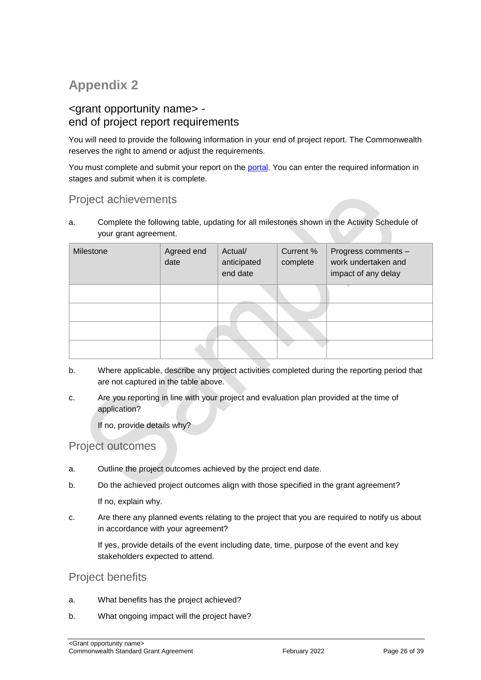# **Appendix 2**

# <grant opportunity name> end of project report requirements

You will need to provide the following information in your end of project report. The Commonwealth reserves the right to amend or adjust the requirements.

You must complete and submit your report on the [portal.](https://portal.business.gov.au/) You can enter the required information in stages and submit when it is complete.

# Project achievements

a. Complete the following table, updating for all milestones shown in the Activity Schedule of your grant agreement.

| Milestone | Agreed end<br>date | Actual/<br>anticipated<br>end date | Current %<br>complete | Progress comments -<br>work undertaken and<br>impact of any delay |
|-----------|--------------------|------------------------------------|-----------------------|-------------------------------------------------------------------|
|           |                    |                                    |                       |                                                                   |
|           |                    |                                    |                       |                                                                   |
|           |                    |                                    |                       |                                                                   |
|           |                    |                                    |                       |                                                                   |

- b. Where applicable, describe any project activities completed during the reporting period that are not captured in the table above.
- c. Are you reporting in line with your project and evaluation plan provided at the time of application?

If no, provide details why?

### Project outcomes

- a. Outline the project outcomes achieved by the project end date.
- b. Do the achieved project outcomes align with those specified in the grant agreement?

If no, explain why.

c. Are there any planned events relating to the project that you are required to notify us about in accordance with your agreement?

If yes, provide details of the event including date, time, purpose of the event and key stakeholders expected to attend.

### Project benefits

- a. What benefits has the project achieved?
- b. What ongoing impact will the project have?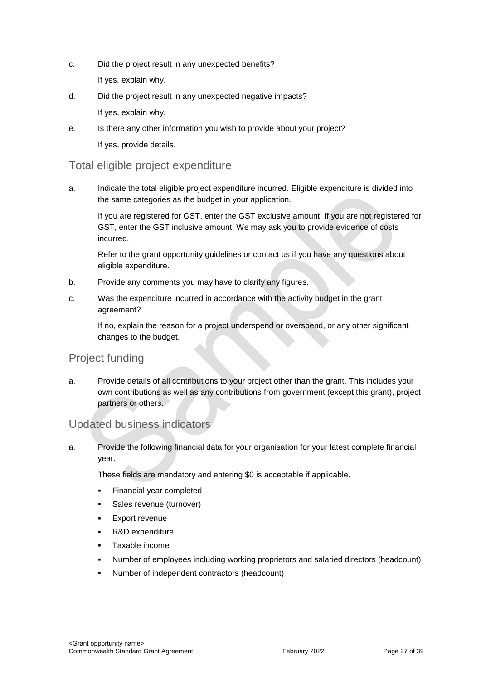- c. Did the project result in any unexpected benefits? If yes, explain why.
- d. Did the project result in any unexpected negative impacts? If yes, explain why.
- e. Is there any other information you wish to provide about your project? If yes, provide details.

# Total eligible project expenditure

a. Indicate the total eligible project expenditure incurred. Eligible expenditure is divided into the same categories as the budget in your application.

If you are registered for GST, enter the GST exclusive amount. If you are not registered for GST, enter the GST inclusive amount. We may ask you to provide evidence of costs incurred.

Refer to the grant opportunity guidelines or contact us if you have any questions about eligible expenditure.

- b. Provide any comments you may have to clarify any figures.
- c. Was the expenditure incurred in accordance with the activity budget in the grant agreement?

If no, explain the reason for a project underspend or overspend, or any other significant changes to the budget.

# Project funding

a. Provide details of all contributions to your project other than the grant. This includes your own contributions as well as any contributions from government (except this grant), project partners or others.

# Updated business indicators

a. Provide the following financial data for your organisation for your latest complete financial year.

These fields are mandatory and entering \$0 is acceptable if applicable.

- Financial year completed
- **Sales revenue (turnover)**
- Export revenue
- R&D expenditure
- Taxable income
- Number of employees including working proprietors and salaried directors (headcount)
- Number of independent contractors (headcount)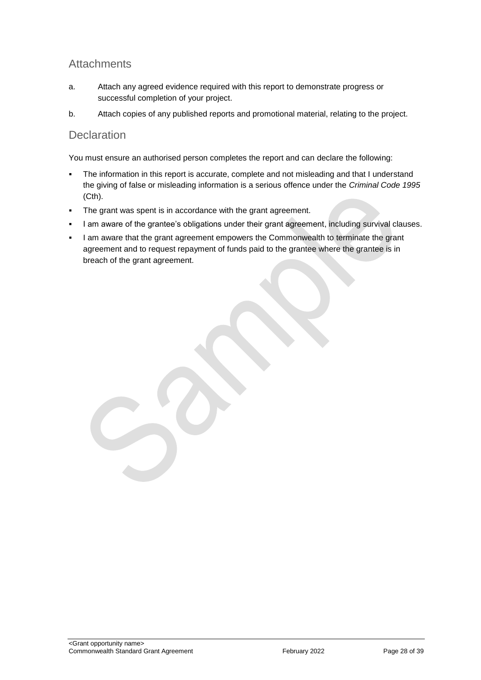# **Attachments**

- a. Attach any agreed evidence required with this report to demonstrate progress or successful completion of your project.
- b. Attach copies of any published reports and promotional material, relating to the project.

### **Declaration**

You must ensure an authorised person completes the report and can declare the following:

- The information in this report is accurate, complete and not misleading and that I understand the giving of false or misleading information is a serious offence under the *Criminal Code 1995* (Cth).
- The grant was spent is in accordance with the grant agreement.
- I am aware of the grantee's obligations under their grant agreement, including survival clauses.
- I am aware that the grant agreement empowers the Commonwealth to terminate the grant agreement and to request repayment of funds paid to the grantee where the grantee is in breach of the grant agreement.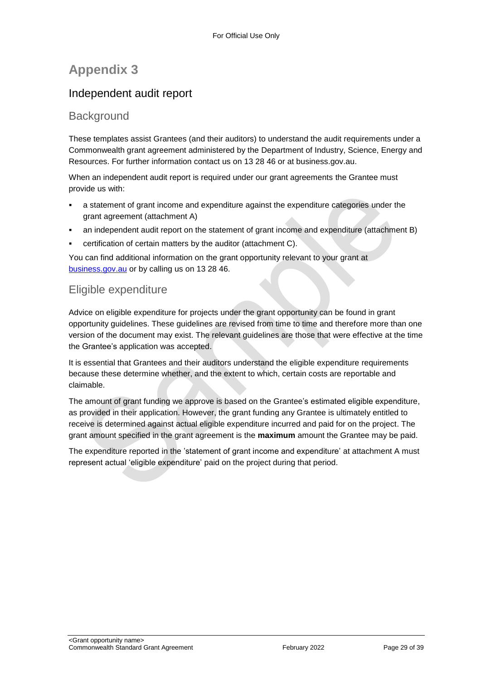# **Appendix 3**

# Independent audit report

# **Background**

These templates assist Grantees (and their auditors) to understand the audit requirements under a Commonwealth grant agreement administered by the Department of Industry, Science, Energy and Resources. For further information contact us on 13 28 46 or at business.gov.au.

When an independent audit report is required under our grant agreements the Grantee must provide us with:

- a statement of grant income and expenditure against the expenditure categories under the grant agreement (attachment A)
- an independent audit report on the statement of grant income and expenditure (attachment B)
- certification of certain matters by the auditor (attachment C).

You can find additional information on the grant opportunity relevant to your grant at [business.gov.au](https://www.business.gov.au/) or by calling us on 13 28 46.

# Eligible expenditure

Advice on eligible expenditure for projects under the grant opportunity can be found in grant opportunity guidelines. These guidelines are revised from time to time and therefore more than one version of the document may exist. The relevant guidelines are those that were effective at the time the Grantee's application was accepted.

It is essential that Grantees and their auditors understand the eligible expenditure requirements because these determine whether, and the extent to which, certain costs are reportable and claimable.

The amount of grant funding we approve is based on the Grantee's estimated eligible expenditure, as provided in their application. However, the grant funding any Grantee is ultimately entitled to receive is determined against actual eligible expenditure incurred and paid for on the project. The grant amount specified in the grant agreement is the **maximum** amount the Grantee may be paid.

The expenditure reported in the 'statement of grant income and expenditure' at attachment A must represent actual 'eligible expenditure' paid on the project during that period.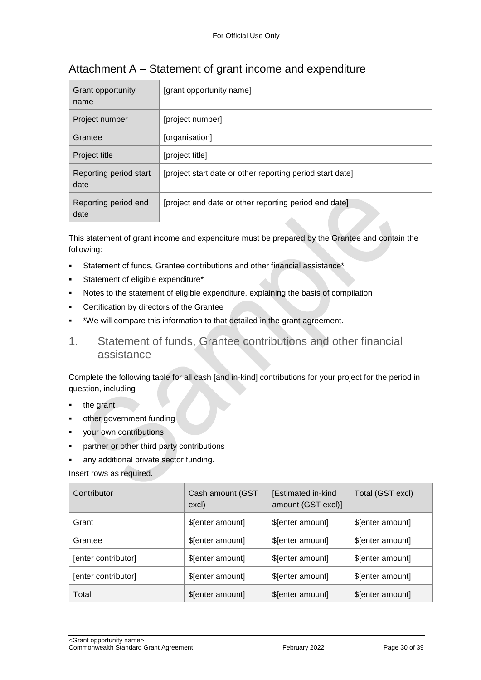| Grant opportunity<br>name      | [grant opportunity name]                                  |
|--------------------------------|-----------------------------------------------------------|
| Project number                 | [project number]                                          |
| Grantee                        | [organisation]                                            |
| Project title                  | [project title]                                           |
| Reporting period start<br>date | [project start date or other reporting period start date] |
| Reporting period end<br>date   | [project end date or other reporting period end date]     |

# Attachment A – Statement of grant income and expenditure

This statement of grant income and expenditure must be prepared by the Grantee and contain the following:

- Statement of funds, Grantee contributions and other financial assistance\*
- Statement of eligible expenditure\*
- Notes to the statement of eligible expenditure, explaining the basis of compilation
- Certification by directors of the Grantee
- \*We will compare this information to that detailed in the grant agreement.
- 1. Statement of funds, Grantee contributions and other financial assistance

Complete the following table for all cash [and in-kind] contributions for your project for the period in question, including

- the grant
- other government funding
- your own contributions
- partner or other third party contributions
- any additional private sector funding.

Insert rows as required.

| Contributor         | Cash amount (GST<br>excl) | [Estimated in-kind<br>amount (GST excl)] | Total (GST excl) |
|---------------------|---------------------------|------------------------------------------|------------------|
| Grant               | \$[enter amount]          | \$[enter amount]                         | \$[enter amount] |
| Grantee             | \$[enter amount]          | \$[enter amount]                         | \$[enter amount] |
| [enter contributor] | \$[enter amount]          | \$[enter amount]                         | \$[enter amount] |
| [enter contributor] | \$[enter amount]          | \$[enter amount]                         | \$[enter amount] |
| Total               | \$[enter amount]          | \$[enter amount]                         | \$[enter amount] |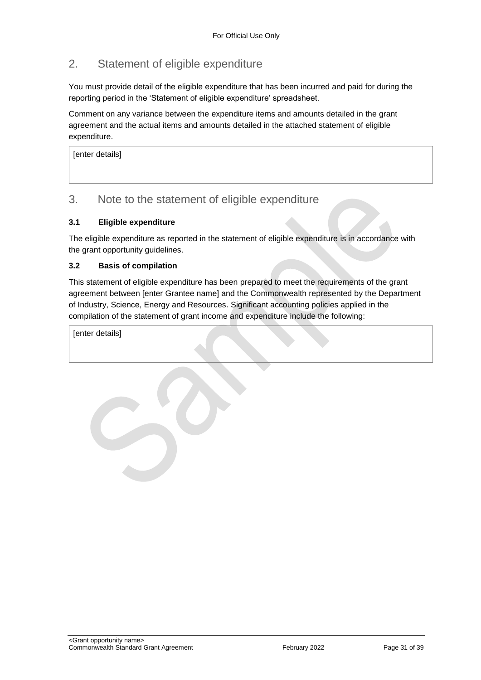# 2. Statement of eligible expenditure

You must provide detail of the eligible expenditure that has been incurred and paid for during the reporting period in the 'Statement of eligible expenditure' spreadsheet.

Comment on any variance between the expenditure items and amounts detailed in the grant agreement and the actual items and amounts detailed in the attached statement of eligible expenditure.

[enter details]

# 3. Note to the statement of eligible expenditure

### **3.1 Eligible expenditure**

The eligible expenditure as reported in the statement of eligible expenditure is in accordance with the grant opportunity guidelines.

#### **3.2 Basis of compilation**

This statement of eligible expenditure has been prepared to meet the requirements of the grant agreement between [enter Grantee name] and the Commonwealth represented by the Department of Industry, Science, Energy and Resources. Significant accounting policies applied in the compilation of the statement of grant income and expenditure include the following:

[enter details]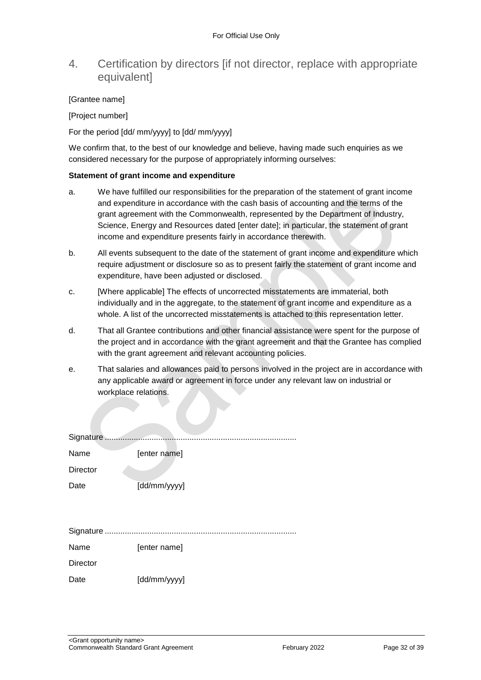# 4. Certification by directors [if not director, replace with appropriate equivalent]

#### [Grantee name]

[Project number]

For the period [dd/ mm/yyyy] to [dd/ mm/yyyy]

We confirm that, to the best of our knowledge and believe, having made such enquiries as we considered necessary for the purpose of appropriately informing ourselves:

#### **Statement of grant income and expenditure**

- a. We have fulfilled our responsibilities for the preparation of the statement of grant income and expenditure in accordance with the cash basis of accounting and the terms of the grant agreement with the Commonwealth, represented by the Department of Industry, Science, Energy and Resources dated [enter date]; in particular, the statement of grant income and expenditure presents fairly in accordance therewith.
- b. All events subsequent to the date of the statement of grant income and expenditure which require adjustment or disclosure so as to present fairly the statement of grant income and expenditure, have been adjusted or disclosed.
- c. [Where applicable] The effects of uncorrected misstatements are immaterial, both individually and in the aggregate, to the statement of grant income and expenditure as a whole. A list of the uncorrected misstatements is attached to this representation letter.
- d. That all Grantee contributions and other financial assistance were spent for the purpose of the project and in accordance with the grant agreement and that the Grantee has complied with the grant agreement and relevant accounting policies.
- e. That salaries and allowances paid to persons involved in the project are in accordance with any applicable award or agreement in force under any relevant law on industrial or workplace relations.

| Signature       |              |
|-----------------|--------------|
| Name            | [enter name] |
| <b>Director</b> |              |
| Date            | [dd/mm/yyyy] |
|                 |              |
|                 |              |
|                 |              |
| Name            | [enter name] |
| <b>Director</b> |              |
| Date            | [dd/mm/yyyy] |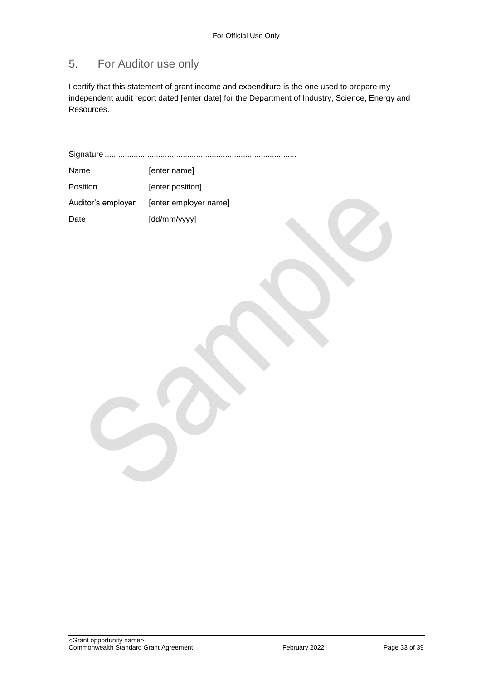# 5. For Auditor use only

I certify that this statement of grant income and expenditure is the one used to prepare my independent audit report dated [enter date] for the Department of Industry, Science, Energy and Resources.

Signature ...................................................................................... Name [enter name] Position [enter position] Auditor's employer [enter employer name] Date [dd/mm/yyyy]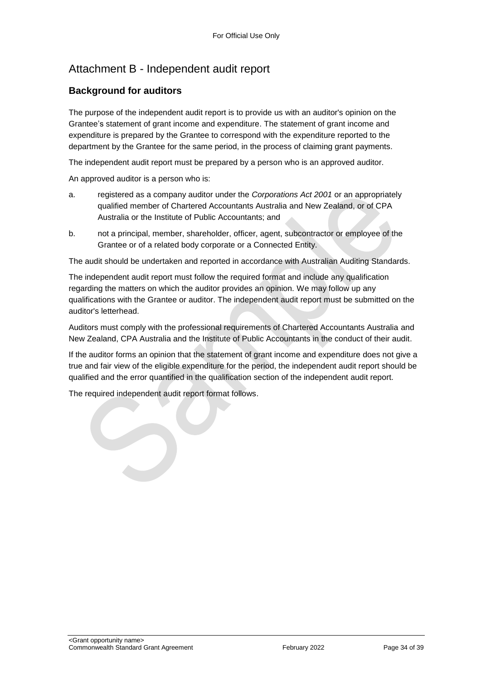# Attachment B - Independent audit report

### **Background for auditors**

The purpose of the independent audit report is to provide us with an auditor's opinion on the Grantee's statement of grant income and expenditure. The statement of grant income and expenditure is prepared by the Grantee to correspond with the expenditure reported to the department by the Grantee for the same period, in the process of claiming grant payments.

The independent audit report must be prepared by a person who is an approved auditor.

An approved auditor is a person who is:

- a. registered as a company auditor under the *Corporations Act 2001* or an appropriately qualified member of Chartered Accountants Australia and New Zealand, or of CPA Australia or the Institute of Public Accountants; and
- b. not a principal, member, shareholder, officer, agent, subcontractor or employee of the Grantee or of a related body corporate or a Connected Entity.

The audit should be undertaken and reported in accordance with Australian Auditing Standards.

The independent audit report must follow the required format and include any qualification regarding the matters on which the auditor provides an opinion. We may follow up any qualifications with the Grantee or auditor. The independent audit report must be submitted on the auditor's letterhead.

Auditors must comply with the professional requirements of Chartered Accountants Australia and New Zealand, CPA Australia and the Institute of Public Accountants in the conduct of their audit.

If the auditor forms an opinion that the statement of grant income and expenditure does not give a true and fair view of the eligible expenditure for the period, the independent audit report should be qualified and the error quantified in the qualification section of the independent audit report.

The required independent audit report format follows.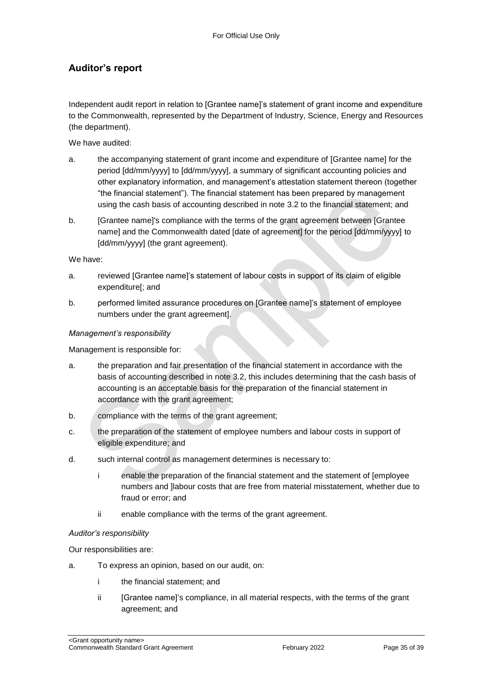# **Auditor's report**

Independent audit report in relation to [Grantee name]'s statement of grant income and expenditure to the Commonwealth, represented by the Department of Industry, Science, Energy and Resources (the department).

We have audited:

- a. the accompanying statement of grant income and expenditure of [Grantee name] for the period [dd/mm/yyyy] to [dd/mm/yyyy], a summary of significant accounting policies and other explanatory information, and management's attestation statement thereon (together "the financial statement"). The financial statement has been prepared by management using the cash basis of accounting described in note 3.2 to the financial statement; and
- b. [Grantee name]'s compliance with the terms of the grant agreement between [Grantee name] and the Commonwealth dated [date of agreement] for the period [dd/mm/yyyy] to [dd/mm/yyyy] (the grant agreement).

We have:

- a. reviewed [Grantee name]'s statement of labour costs in support of its claim of eligible expenditure[; and
- b. performed limited assurance procedures on [Grantee name]'s statement of employee numbers under the grant agreement].

#### *Management's responsibility*

Management is responsible for:

- a. the preparation and fair presentation of the financial statement in accordance with the basis of accounting described in note 3.2, this includes determining that the cash basis of accounting is an acceptable basis for the preparation of the financial statement in accordance with the grant agreement;
- b. compliance with the terms of the grant agreement;
- c. the preparation of the statement of employee numbers and labour costs in support of eligible expenditure; and
- d. such internal control as management determines is necessary to:
	- i enable the preparation of the financial statement and the statement of [employee numbers and ]labour costs that are free from material misstatement, whether due to fraud or error; and
	- ii enable compliance with the terms of the grant agreement.

#### *Auditor's responsibility*

Our responsibilities are:

- a. To express an opinion, based on our audit, on:
	- i the financial statement; and
	- ii [Grantee name]'s compliance, in all material respects, with the terms of the grant agreement; and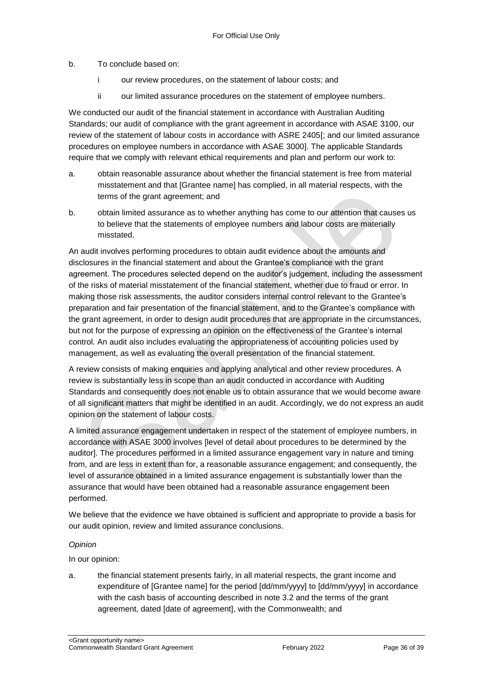b. To conclude based on:

- i our review procedures, on the statement of labour costs; and
- ii our limited assurance procedures on the statement of employee numbers.

We conducted our audit of the financial statement in accordance with Australian Auditing Standards; our audit of compliance with the grant agreement in accordance with ASAE 3100, our review of the statement of labour costs in accordance with ASRE 2405[; and our limited assurance procedures on employee numbers in accordance with ASAE 3000]. The applicable Standards require that we comply with relevant ethical requirements and plan and perform our work to:

- a. obtain reasonable assurance about whether the financial statement is free from material misstatement and that [Grantee name] has complied, in all material respects, with the terms of the grant agreement; and
- b. obtain limited assurance as to whether anything has come to our attention that causes us to believe that the statements of employee numbers and labour costs are materially misstated.

An audit involves performing procedures to obtain audit evidence about the amounts and disclosures in the financial statement and about the Grantee's compliance with the grant agreement. The procedures selected depend on the auditor's judgement, including the assessment of the risks of material misstatement of the financial statement, whether due to fraud or error. In making those risk assessments, the auditor considers internal control relevant to the Grantee's preparation and fair presentation of the financial statement, and to the Grantee's compliance with the grant agreement, in order to design audit procedures that are appropriate in the circumstances, but not for the purpose of expressing an opinion on the effectiveness of the Grantee's internal control. An audit also includes evaluating the appropriateness of accounting policies used by management, as well as evaluating the overall presentation of the financial statement.

A review consists of making enquiries and applying analytical and other review procedures. A review is substantially less in scope than an audit conducted in accordance with Auditing Standards and consequently does not enable us to obtain assurance that we would become aware of all significant matters that might be identified in an audit. Accordingly, we do not express an audit opinion on the statement of labour costs.

A limited assurance engagement undertaken in respect of the statement of employee numbers, in accordance with ASAE 3000 involves [level of detail about procedures to be determined by the auditor]. The procedures performed in a limited assurance engagement vary in nature and timing from, and are less in extent than for, a reasonable assurance engagement; and consequently, the level of assurance obtained in a limited assurance engagement is substantially lower than the assurance that would have been obtained had a reasonable assurance engagement been performed.

We believe that the evidence we have obtained is sufficient and appropriate to provide a basis for our audit opinion, review and limited assurance conclusions.

#### *Opinion*

In our opinion:

a. the financial statement presents fairly, in all material respects, the grant income and expenditure of [Grantee name] for the period [dd/mm/yyyy] to [dd/mm/yyyy] in accordance with the cash basis of accounting described in note 3.2 and the terms of the grant agreement, dated [date of agreement], with the Commonwealth; and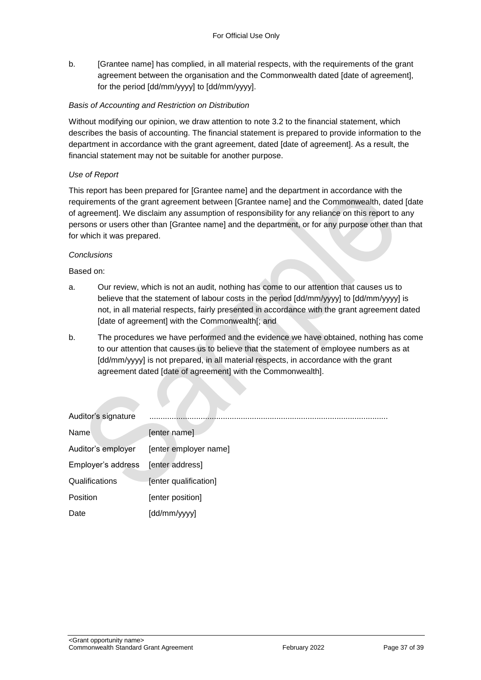b. [Grantee name] has complied, in all material respects, with the requirements of the grant agreement between the organisation and the Commonwealth dated [date of agreement], for the period [dd/mm/yyyy] to [dd/mm/yyyy].

### *Basis of Accounting and Restriction on Distribution*

Without modifying our opinion, we draw attention to note 3.2 to the financial statement, which describes the basis of accounting. The financial statement is prepared to provide information to the department in accordance with the grant agreement, dated [date of agreement]. As a result, the financial statement may not be suitable for another purpose.

#### *Use of Report*

This report has been prepared for [Grantee name] and the department in accordance with the requirements of the grant agreement between [Grantee name] and the Commonwealth, dated [date of agreement]. We disclaim any assumption of responsibility for any reliance on this report to any persons or users other than [Grantee name] and the department, or for any purpose other than that for which it was prepared.

#### *Conclusions*

Based on:

- a. Our review, which is not an audit, nothing has come to our attention that causes us to believe that the statement of labour costs in the period [dd/mm/yyyy] to [dd/mm/yyyy] is not, in all material respects, fairly presented in accordance with the grant agreement dated [date of agreement] with the Commonwealth[; and
- b. The procedures we have performed and the evidence we have obtained, nothing has come to our attention that causes us to believe that the statement of employee numbers as at [dd/mm/yyyy] is not prepared, in all material respects, in accordance with the grant agreement dated [date of agreement] with the Commonwealth].

| Auditor's signature |                       |
|---------------------|-----------------------|
| Name                | [enter name]          |
| Auditor's employer  | [enter employer name] |
| Employer's address  | [enter address]       |
| Qualifications      | [enter qualification] |
| Position            | [enter position]      |
| Date                | [dd/mm/yyyy]          |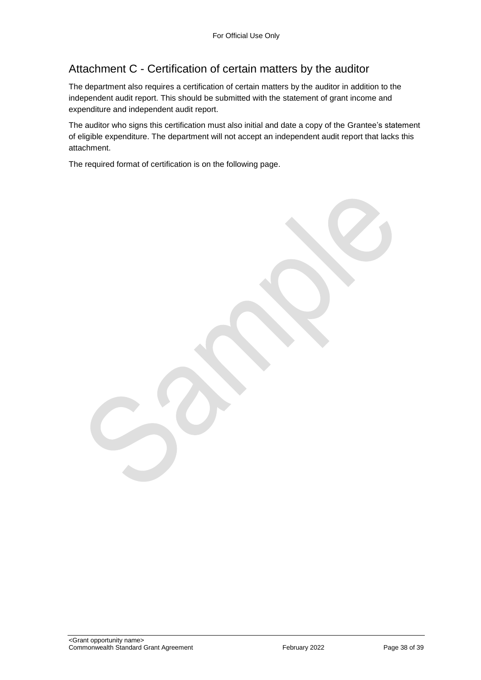# Attachment C - Certification of certain matters by the auditor

The department also requires a certification of certain matters by the auditor in addition to the independent audit report. This should be submitted with the statement of grant income and expenditure and independent audit report.

The auditor who signs this certification must also initial and date a copy of the Grantee's statement of eligible expenditure. The department will not accept an independent audit report that lacks this attachment.

The required format of certification is on the following page.